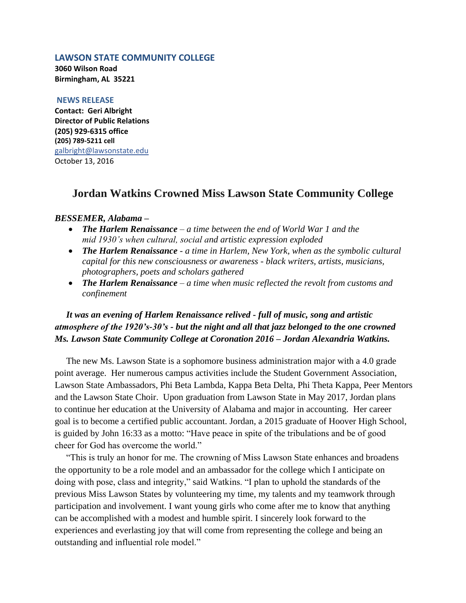### **LAWSON STATE COMMUNITY COLLEGE**

**3060 Wilson Road Birmingham, AL 35221**

#### **NEWS RELEASE**

**Contact: Geri Albright Director of Public Relations (205) 929-6315 office (205) 789-5211 cell** [galbright@lawsonstate.edu](https://mail.lawsonstate.edu/owa/redir.aspx?C=de746f0d2a7648fe9f16448df2a82d53&URL=mailto%3agalbright%40lawsonstate.edu) October 13, 2016

# **Jordan Watkins Crowned Miss Lawson State Community College**

### *BESSEMER, Alabama –*

- *The Harlem Renaissance – a time between the end of World War 1 and the mid 1930's when cultural, social and artistic expression exploded*
- *The Harlem Renaissance - a time in Harlem, New York, when as the symbolic cultural capital for this new consciousness or awareness - black writers, artists, musicians, photographers, poets and scholars gathered*
- *The Harlem Renaissance – a time when music reflected the revolt from customs and confinement*

## *It was an evening of Harlem Renaissance relived - full of music, song and artistic atmosphere of the 1920's-30's - but the night and all that jazz belonged to the one crowned Ms. Lawson State Community College at Coronation 2016 – Jordan Alexandria Watkins.*

 The new Ms. Lawson State is a sophomore business administration major with a 4.0 grade point average. Her numerous campus activities include the Student Government Association, Lawson State Ambassadors, Phi Beta Lambda, Kappa Beta Delta, Phi Theta Kappa, Peer Mentors and the Lawson State Choir. Upon graduation from Lawson State in May 2017, Jordan plans to continue her education at the University of Alabama and major in accounting. Her career goal is to become a certified public accountant. Jordan, a 2015 graduate of Hoover High School, is guided by John 16:33 as a motto: "Have peace in spite of the tribulations and be of good cheer for God has overcome the world."

 "This is truly an honor for me. The crowning of Miss Lawson State enhances and broadens the opportunity to be a role model and an ambassador for the college which I anticipate on doing with pose, class and integrity," said Watkins. "I plan to uphold the standards of the previous Miss Lawson States by volunteering my time, my talents and my teamwork through participation and involvement. I want young girls who come after me to know that anything can be accomplished with a modest and humble spirit. I sincerely look forward to the experiences and everlasting joy that will come from representing the college and being an outstanding and influential role model."